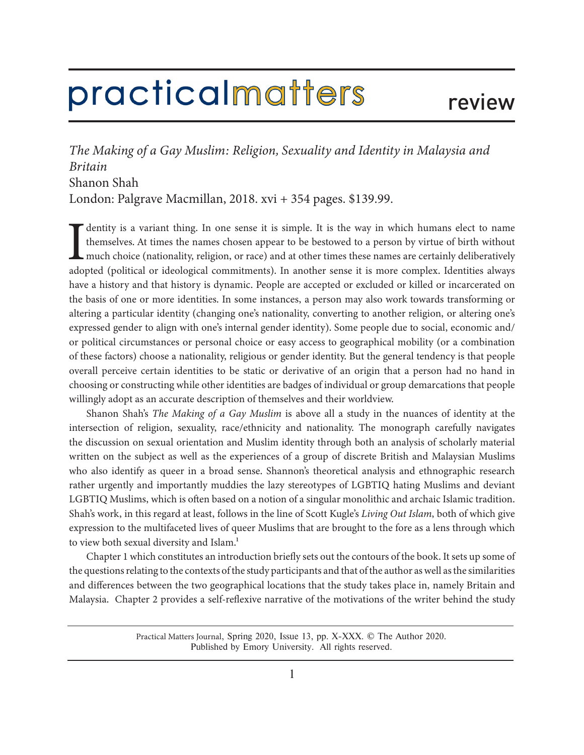## practicalmatters

*The Making of a Gay Muslim: Religion, Sexuality and Identity in Malaysia and Britain* Shanon Shah London: Palgrave Macmillan, 2018. xvi + 354 pages. \$139.99.

**I** dentity is a variant thing. In one sense it is simple. It is the way in which humans elect to name themselves. At times the names chosen appear to be bestowed to a person by virtue of birth without much choice (nationa dentity is a variant thing. In one sense it is simple. It is the way in which humans elect to name themselves. At times the names chosen appear to be bestowed to a person by virtue of birth without much choice (nationality, religion, or race) and at other times these names are certainly deliberatively have a history and that history is dynamic. People are accepted or excluded or killed or incarcerated on the basis of one or more identities. In some instances, a person may also work towards transforming or altering a particular identity (changing one's nationality, converting to another religion, or altering one's expressed gender to align with one's internal gender identity). Some people due to social, economic and/ or political circumstances or personal choice or easy access to geographical mobility (or a combination of these factors) choose a nationality, religious or gender identity. But the general tendency is that people overall perceive certain identities to be static or derivative of an origin that a person had no hand in choosing or constructing while other identities are badges of individual or group demarcations that people willingly adopt as an accurate description of themselves and their worldview.

Shanon Shah's *The Making of a Gay Muslim* is above all a study in the nuances of identity at the intersection of religion, sexuality, race/ethnicity and nationality. The monograph carefully navigates the discussion on sexual orientation and Muslim identity through both an analysis of scholarly material written on the subject as well as the experiences of a group of discrete British and Malaysian Muslims who also identify as queer in a broad sense. Shannon's theoretical analysis and ethnographic research rather urgently and importantly muddies the lazy stereotypes of LGBTIQ hating Muslims and deviant LGBTIQ Muslims, which is often based on a notion of a singular monolithic and archaic Islamic tradition. Shah's work, in this regard at least, follows in the line of Scott Kugle's *Living Out Islam*, both of which give expression to the multifaceted lives of queer Muslims that are brought to the fore as a lens through which to view both sexual diversity and Islam.<sup>1</sup>

Chapter 1 which constitutes an introduction briefly sets out the contours of the book. It sets up some of the questions relating to the contexts of the study participants and that of the author as well as the similarities and differences between the two geographical locations that the study takes place in, namely Britain and Malaysia. Chapter 2 provides a self-reflexive narrative of the motivations of the writer behind the study

> Practical Matters Journal, Spring 2020, Issue 13, pp. X-XXX. © The Author 2020. Published by Emory University. All rights reserved.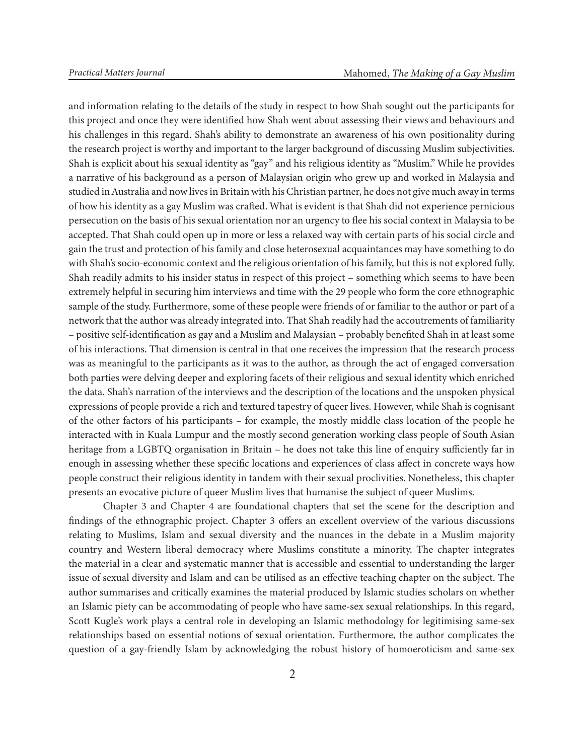and information relating to the details of the study in respect to how Shah sought out the participants for this project and once they were identified how Shah went about assessing their views and behaviours and his challenges in this regard. Shah's ability to demonstrate an awareness of his own positionality during the research project is worthy and important to the larger background of discussing Muslim subjectivities. Shah is explicit about his sexual identity as "gay" and his religious identity as "Muslim." While he provides a narrative of his background as a person of Malaysian origin who grew up and worked in Malaysia and studied in Australia and now lives in Britain with his Christian partner, he does not give much away in terms of how his identity as a gay Muslim was crafted. What is evident is that Shah did not experience pernicious persecution on the basis of his sexual orientation nor an urgency to flee his social context in Malaysia to be accepted. That Shah could open up in more or less a relaxed way with certain parts of his social circle and gain the trust and protection of his family and close heterosexual acquaintances may have something to do with Shah's socio-economic context and the religious orientation of his family, but this is not explored fully. Shah readily admits to his insider status in respect of this project – something which seems to have been extremely helpful in securing him interviews and time with the 29 people who form the core ethnographic sample of the study. Furthermore, some of these people were friends of or familiar to the author or part of a network that the author was already integrated into. That Shah readily had the accoutrements of familiarity – positive self-identification as gay and a Muslim and Malaysian – probably benefited Shah in at least some of his interactions. That dimension is central in that one receives the impression that the research process was as meaningful to the participants as it was to the author, as through the act of engaged conversation both parties were delving deeper and exploring facets of their religious and sexual identity which enriched the data. Shah's narration of the interviews and the description of the locations and the unspoken physical expressions of people provide a rich and textured tapestry of queer lives. However, while Shah is cognisant of the other factors of his participants – for example, the mostly middle class location of the people he interacted with in Kuala Lumpur and the mostly second generation working class people of South Asian heritage from a LGBTQ organisation in Britain – he does not take this line of enquiry sufficiently far in enough in assessing whether these specific locations and experiences of class affect in concrete ways how people construct their religious identity in tandem with their sexual proclivities. Nonetheless, this chapter presents an evocative picture of queer Muslim lives that humanise the subject of queer Muslims.

Chapter 3 and Chapter 4 are foundational chapters that set the scene for the description and findings of the ethnographic project. Chapter 3 offers an excellent overview of the various discussions relating to Muslims, Islam and sexual diversity and the nuances in the debate in a Muslim majority country and Western liberal democracy where Muslims constitute a minority. The chapter integrates the material in a clear and systematic manner that is accessible and essential to understanding the larger issue of sexual diversity and Islam and can be utilised as an effective teaching chapter on the subject. The author summarises and critically examines the material produced by Islamic studies scholars on whether an Islamic piety can be accommodating of people who have same-sex sexual relationships. In this regard, Scott Kugle's work plays a central role in developing an Islamic methodology for legitimising same-sex relationships based on essential notions of sexual orientation. Furthermore, the author complicates the question of a gay-friendly Islam by acknowledging the robust history of homoeroticism and same-sex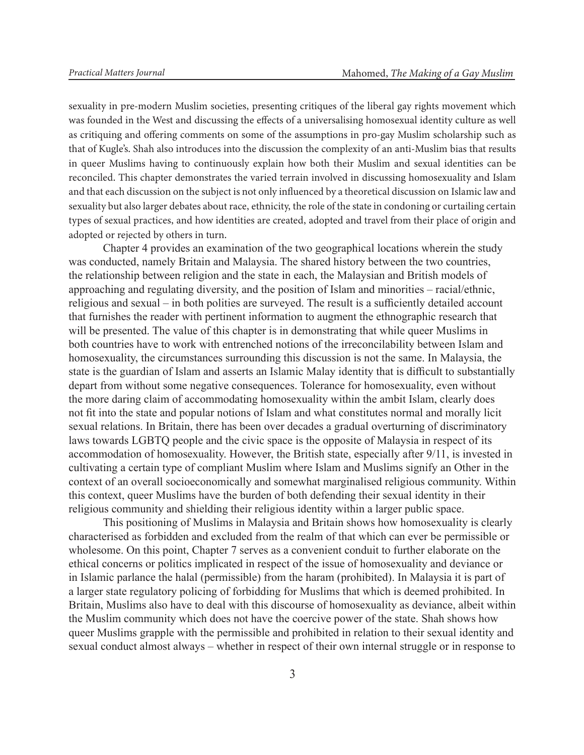sexuality in pre-modern Muslim societies, presenting critiques of the liberal gay rights movement which was founded in the West and discussing the effects of a universalising homosexual identity culture as well as critiquing and offering comments on some of the assumptions in pro-gay Muslim scholarship such as that of Kugle's. Shah also introduces into the discussion the complexity of an anti-Muslim bias that results in queer Muslims having to continuously explain how both their Muslim and sexual identities can be reconciled. This chapter demonstrates the varied terrain involved in discussing homosexuality and Islam and that each discussion on the subject is not only influenced by a theoretical discussion on Islamic law and sexuality but also larger debates about race, ethnicity, the role of the state in condoning or curtailing certain types of sexual practices, and how identities are created, adopted and travel from their place of origin and adopted or rejected by others in turn.

Chapter 4 provides an examination of the two geographical locations wherein the study was conducted, namely Britain and Malaysia. The shared history between the two countries, the relationship between religion and the state in each, the Malaysian and British models of approaching and regulating diversity, and the position of Islam and minorities – racial/ethnic, religious and sexual – in both polities are surveyed. The result is a sufficiently detailed account that furnishes the reader with pertinent information to augment the ethnographic research that will be presented. The value of this chapter is in demonstrating that while queer Muslims in both countries have to work with entrenched notions of the irreconcilability between Islam and homosexuality, the circumstances surrounding this discussion is not the same. In Malaysia, the state is the guardian of Islam and asserts an Islamic Malay identity that is difficult to substantially depart from without some negative consequences. Tolerance for homosexuality, even without the more daring claim of accommodating homosexuality within the ambit Islam, clearly does not fit into the state and popular notions of Islam and what constitutes normal and morally licit sexual relations. In Britain, there has been over decades a gradual overturning of discriminatory laws towards LGBTQ people and the civic space is the opposite of Malaysia in respect of its accommodation of homosexuality. However, the British state, especially after 9/11, is invested in cultivating a certain type of compliant Muslim where Islam and Muslims signify an Other in the context of an overall socioeconomically and somewhat marginalised religious community. Within this context, queer Muslims have the burden of both defending their sexual identity in their religious community and shielding their religious identity within a larger public space.

This positioning of Muslims in Malaysia and Britain shows how homosexuality is clearly characterised as forbidden and excluded from the realm of that which can ever be permissible or wholesome. On this point, Chapter 7 serves as a convenient conduit to further elaborate on the ethical concerns or politics implicated in respect of the issue of homosexuality and deviance or in Islamic parlance the halal (permissible) from the haram (prohibited). In Malaysia it is part of a larger state regulatory policing of forbidding for Muslims that which is deemed prohibited. In Britain, Muslims also have to deal with this discourse of homosexuality as deviance, albeit within the Muslim community which does not have the coercive power of the state. Shah shows how queer Muslims grapple with the permissible and prohibited in relation to their sexual identity and sexual conduct almost always – whether in respect of their own internal struggle or in response to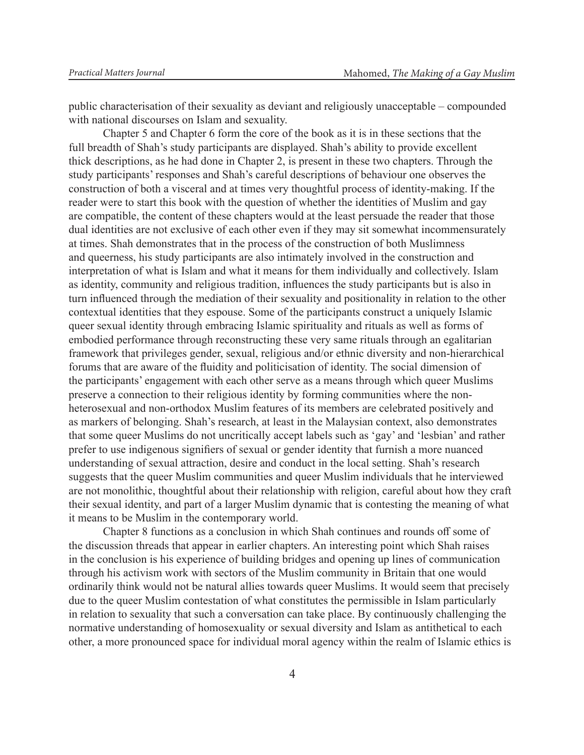public characterisation of their sexuality as deviant and religiously unacceptable – compounded with national discourses on Islam and sexuality.

Chapter 5 and Chapter 6 form the core of the book as it is in these sections that the full breadth of Shah's study participants are displayed. Shah's ability to provide excellent thick descriptions, as he had done in Chapter 2, is present in these two chapters. Through the study participants' responses and Shah's careful descriptions of behaviour one observes the construction of both a visceral and at times very thoughtful process of identity-making. If the reader were to start this book with the question of whether the identities of Muslim and gay are compatible, the content of these chapters would at the least persuade the reader that those dual identities are not exclusive of each other even if they may sit somewhat incommensurately at times. Shah demonstrates that in the process of the construction of both Muslimness and queerness, his study participants are also intimately involved in the construction and interpretation of what is Islam and what it means for them individually and collectively. Islam as identity, community and religious tradition, influences the study participants but is also in turn influenced through the mediation of their sexuality and positionality in relation to the other contextual identities that they espouse. Some of the participants construct a uniquely Islamic queer sexual identity through embracing Islamic spirituality and rituals as well as forms of embodied performance through reconstructing these very same rituals through an egalitarian framework that privileges gender, sexual, religious and/or ethnic diversity and non-hierarchical forums that are aware of the fluidity and politicisation of identity. The social dimension of the participants' engagement with each other serve as a means through which queer Muslims preserve a connection to their religious identity by forming communities where the nonheterosexual and non-orthodox Muslim features of its members are celebrated positively and as markers of belonging. Shah's research, at least in the Malaysian context, also demonstrates that some queer Muslims do not uncritically accept labels such as 'gay' and 'lesbian' and rather prefer to use indigenous signifiers of sexual or gender identity that furnish a more nuanced understanding of sexual attraction, desire and conduct in the local setting. Shah's research suggests that the queer Muslim communities and queer Muslim individuals that he interviewed are not monolithic, thoughtful about their relationship with religion, careful about how they craft their sexual identity, and part of a larger Muslim dynamic that is contesting the meaning of what it means to be Muslim in the contemporary world.

Chapter 8 functions as a conclusion in which Shah continues and rounds off some of the discussion threads that appear in earlier chapters. An interesting point which Shah raises in the conclusion is his experience of building bridges and opening up lines of communication through his activism work with sectors of the Muslim community in Britain that one would ordinarily think would not be natural allies towards queer Muslims. It would seem that precisely due to the queer Muslim contestation of what constitutes the permissible in Islam particularly in relation to sexuality that such a conversation can take place. By continuously challenging the normative understanding of homosexuality or sexual diversity and Islam as antithetical to each other, a more pronounced space for individual moral agency within the realm of Islamic ethics is